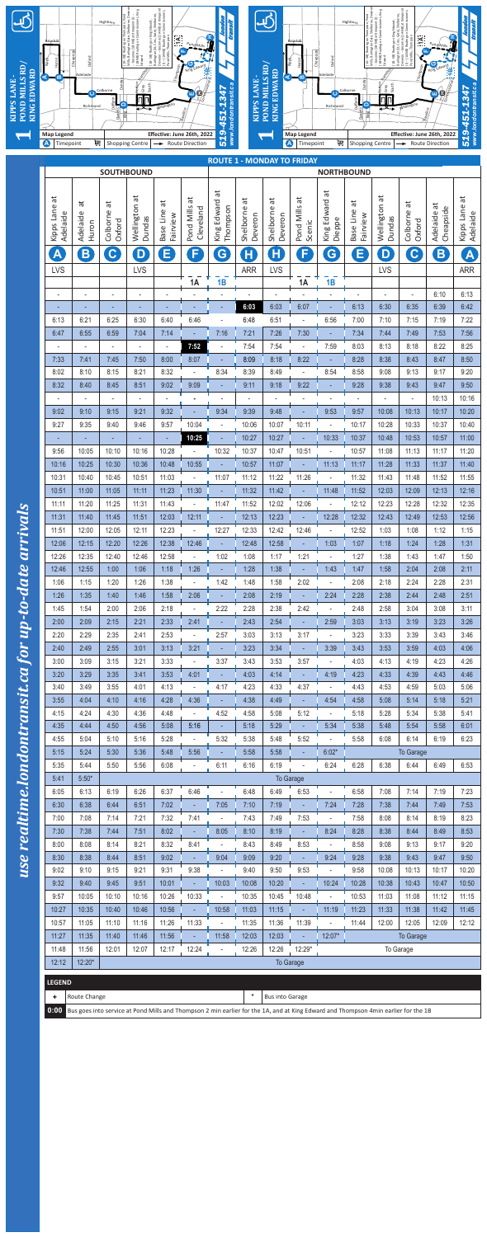|                                               | <b>SOUTHBOUND</b>                                                                                                                       |                                  | <b>ROUTE 1 - MONDAY TO FRIDAY</b> |                            |                              | <b>NORTHBOUND</b>                         |                           |                           |                                   |                                    |                            |                                   |                                 |                            |                             |
|-----------------------------------------------|-----------------------------------------------------------------------------------------------------------------------------------------|----------------------------------|-----------------------------------|----------------------------|------------------------------|-------------------------------------------|---------------------------|---------------------------|-----------------------------------|------------------------------------|----------------------------|-----------------------------------|---------------------------------|----------------------------|-----------------------------|
| $\overline{\sigma}$<br>Kipps Lane<br>Adelaide | ä<br>Adelaide<br>Huron                                                                                                                  | đ<br>Colborne<br>Oxford          | $\vec{a}$<br>Wellington<br>Dundas | đ<br>Base Line<br>Fairview | đ<br>Pond Mills<br>Cleveland | $\vec{a}$<br>Edward<br>Thompson<br>King I | đ<br>Shelborne<br>Deveron | đ<br>Shelborne<br>Deveron | $\vec{a}$<br>Pond Mills<br>Scenic | $\vec{a}$<br>King Edward<br>Dieppe | đ<br>Base Line<br>Fairview | đ<br>Wellington<br>Dundas         | $\vec{a}$<br>Colborne<br>Oxford | đ<br>Cheapside<br>Adelaide | đ<br>Kipps Lane<br>Adelaide |
|                                               |                                                                                                                                         |                                  |                                   |                            |                              |                                           |                           |                           |                                   |                                    |                            |                                   |                                 |                            |                             |
| $\blacktriangle$                              | B                                                                                                                                       | $\mathbf{C}$                     | D                                 | E                          | F                            | G                                         | $\mathsf H$               | Η                         | F                                 | G                                  | E                          | D                                 | $\mathbf{C}$                    | B                          | A                           |
| <b>LVS</b>                                    |                                                                                                                                         |                                  | <b>LVS</b>                        |                            | 1A                           | 1B                                        | <b>ARR</b>                | <b>LVS</b>                | <b>1A</b>                         | 1B                                 |                            | <b>LVS</b>                        |                                 |                            | <b>ARR</b>                  |
| $\blacksquare$                                |                                                                                                                                         | ۰                                | $\blacksquare$                    |                            |                              |                                           |                           |                           |                                   |                                    |                            | $\overline{a}$                    |                                 | 6:10                       | 6:13                        |
|                                               |                                                                                                                                         |                                  |                                   |                            |                              |                                           | 6:03                      | 6:03                      | 6:07                              |                                    | 6:13                       | 6:30                              | 6:35                            | 6:39                       | 6:42                        |
| 6:13<br>6:47                                  | 6:21<br>6:55                                                                                                                            | 6:25<br>6:59                     | 6:30<br>7:04                      | 6:40<br>7:14               | 6:46                         | 7:16                                      | 6:48<br>7:21              | 6:51<br>7:26              |                                   | 6:56                               | 7:00<br>7:34               | 7:10<br>7:44                      | 7:15<br>7:49                    | 7:19<br>7:53               | 7:22<br>7:56                |
| $\blacksquare$                                |                                                                                                                                         |                                  | $\overline{\phantom{a}}$          | $\blacksquare$             | 7:52                         | $\overline{a}$                            | 7:54                      | 7:54                      | 7:30                              | 7:59                               | 8:03                       | 8:13                              | 8:18                            | 8:22                       | 8:25                        |
| 7:33                                          | 7:41                                                                                                                                    | 7:45                             | 7:50                              | 8:00                       | 8:07                         |                                           | 8:09                      | 8:18                      | 8:22                              |                                    | 8:28                       | 8:38                              | 8:43                            | 8:47                       | 8:50                        |
| 8:02                                          | 8:10                                                                                                                                    | 8:15                             | 8:21                              | 8:32                       |                              | 8:34                                      | 8:39                      | 8:49                      |                                   | 8:54                               | 8:58                       | 9:08                              | 9:13                            | 9:17                       | 9:20                        |
| 8:32                                          | 8:40                                                                                                                                    | 8:45                             | 8:51                              | 9:02                       | 9:09                         |                                           | 9:11                      | 9:18                      | 9:22                              |                                    | 9:28                       | 9:38                              | 9:43                            | 9:47                       | 9:50                        |
| $\sim$<br>9:02                                | 9:10                                                                                                                                    | $\overline{\phantom{a}}$<br>9:15 | $\overline{\phantom{a}}$<br>9:21  | 9:32                       |                              | 9:34                                      | $\overline{a}$<br>9:39    | 9:48                      |                                   | 9:53                               | 9:57                       | $\overline{\phantom{a}}$<br>10:08 | $\overline{a}$<br>10:13         | 10:13<br>10:17             | 10:16<br>10:20              |
| 9:27                                          | 9:35                                                                                                                                    | 9:40                             | 9:46                              | 9:57                       | 10:04                        |                                           | 10:06                     | 10:07                     | 10:11                             |                                    | 10:17                      | 10:28                             | 10:33                           | 10:37                      | 10:40                       |
|                                               |                                                                                                                                         |                                  |                                   |                            | 10:25                        |                                           | 10:27                     | 10:27                     |                                   | 10:33                              | 10:37                      | 10:48                             | 10:53                           | 10:57                      | 11:00                       |
| 9:56                                          | 10:05                                                                                                                                   | 10:10                            | 10:16                             | 10:28                      |                              | 10:32                                     | 10:37                     | 10:47                     | 10:51                             |                                    | 10:57                      | 11:08                             | 11:13                           | 11:17                      | 11:20                       |
| 10:16                                         | 10:25                                                                                                                                   | 10:30                            | 10:36                             | 10:48                      | 10:55                        |                                           | 10:57                     | 11:07                     |                                   | 11:13                              | 11:17                      | 11:28                             | 11:33                           | 11:37                      | 11:40                       |
| 10:31<br>10:51                                | 10:40<br>11:00                                                                                                                          | 10:45<br>11:05                   | 10:51<br>11:11                    | 11:03<br>11:23             | 11:30                        | 11:07                                     | 11:12<br>11:32            | 11:22<br>11:42            | 11:26                             | 11:48                              | 11:32<br>11:52             | 11:43<br>12:03                    | 11:48<br>12:09                  | 11:52<br>12:13             | 11:55<br>12:16              |
| 11:11                                         | 11:20                                                                                                                                   | 11:25                            | 11:31                             | 11:43                      |                              | 11:47                                     | 11:52                     | 12:02                     | 12:06                             |                                    | 12:12                      | 12:23                             | 12:28                           | 12:32                      | 12:35                       |
| 11:31                                         | 11:40                                                                                                                                   | 11:45                            | 11:51                             | 12:03                      | 12:11                        |                                           | 12:13                     | 12:23                     |                                   | 12:28                              | 12:32                      | 12:43                             | 12:49                           | 12:53                      | 12:56                       |
| 11:51                                         | 12:00                                                                                                                                   | 12:05                            | 12:11                             | 12:23                      |                              | 12:27                                     | 12:33                     | 12:42                     | 12:46                             |                                    | 12:52                      | 1:03                              | 1:08                            | 1:12                       | 1:15                        |
| 12:06                                         | 12:15                                                                                                                                   | 12:20                            | 12:26                             | 12:38                      | 12:46                        |                                           | 12:48                     | 12:58                     |                                   | 1:03                               | 1:07                       | 1:18                              | 1:24                            | 1:28                       | 1:31                        |
| 12:26                                         | 12:35                                                                                                                                   | 12:40                            | 12:46                             | 12:58                      |                              | 1:02                                      | 1:08                      | 1:17                      | 1:21                              |                                    | 1:27                       | 1:38                              | 1:43                            | 1:47                       | 1:50                        |
| 12:46<br>1:06                                 | 12:55<br>1:15                                                                                                                           | 1:00<br>1:20                     | 1:06<br>1:26                      | 1:18<br>1:38               | 1:26                         | 1:42                                      | 1:28<br>1:48              | 1:38<br>1:58              | 2:02                              | 1:43                               | 1:47<br>2:08               | 1:58<br>2:18                      | 2:04<br>2:24                    | 2:08<br>2:28               | 2:11<br>2:31                |
| 1:26                                          | 1:35                                                                                                                                    | 1:40                             | 1:46                              | 1:58                       | 2:06                         |                                           | 2:08                      | 2:19                      |                                   | 2:24                               | 2:28                       | 2:38                              | 2:44                            | 2:48                       | 2:51                        |
| 1:45                                          | 1:54                                                                                                                                    | 2:00                             | 2:06                              | 2:18                       |                              | 2:22                                      | 2:28                      | 2:38                      | 2:42                              |                                    | 2:48                       | 2:58                              | 3:04                            | 3:08                       | 3:11                        |
| 2:00                                          | 2:09                                                                                                                                    | 2:15                             | 2:21                              | 2:33                       | 2:41                         |                                           | 2:43                      | 2:54                      |                                   | 2:59                               | 3:03                       | 3:13                              | 3:19                            | 3:23                       | 3:26                        |
| 2:20                                          | 2:29                                                                                                                                    | 2:35                             | 2:41                              | 2:53                       |                              | 2:57                                      | 3:03                      | 3:13                      | 3:17                              |                                    | 3:23                       | 3:33                              | 3:39                            | 3:43                       | 3:46                        |
| 2:40<br>3:00                                  | 2:49<br>3:09                                                                                                                            | 2:55<br>3:15                     | 3:01<br>3:21                      | 3:13<br>3:33               | 3:21                         | 3:37                                      | 3:23<br>3:43              | 3:34<br>3:53              | 3:57                              | 3:39                               | 3:43<br>4:03               | 3:53<br>4:13                      | 3:59<br>4:19                    | 4:03<br>4:23               | 4:06<br>4:26                |
| 3:20                                          | 3:29                                                                                                                                    | 3:35                             | 3:41                              | 3:53                       | 4:01                         |                                           | 4:03                      | 4:14                      |                                   | 4:19                               | 4:23                       | 4:33                              | 4:39                            | 4:43                       | 4:46                        |
| 3:40                                          | 3:49                                                                                                                                    | 3:55                             | 4:01                              | 4:13                       |                              | 4:17                                      | 4:23                      | 4:33                      | 4:37                              |                                    | 4:43                       | 4:53                              | 4:59                            | 5:03                       | 5:06                        |
| 3:55                                          | 4:04                                                                                                                                    | 4:10                             | 4:16                              | 4:28                       | 4:36                         |                                           | 4:38                      | 4:49                      |                                   | 4:54                               | 4:58                       | 5:08                              | 5:14                            | 5:18                       | 5:21                        |
| 4:15                                          | 4:24                                                                                                                                    | 4:30                             | 4:36                              | 4:48                       |                              | 4:52                                      | 4:58                      | 5:08                      | 5:12                              |                                    | 5:18                       | 5:28                              | 5:34                            | 5:38                       | 5:41                        |
| 4:35<br>4:55                                  | 4:44<br>5:04                                                                                                                            | 4:50<br>5:10                     | 4:56<br>5:16                      | 5:08<br>5:28               | 5:16                         | 5:32                                      | 5:18<br>5:38              | 5:29<br>5:48              | 5:52                              | 5:34                               | 5:38<br>5:58               | 5:48<br>6:08                      | 5:54<br>6:14                    | 5:58<br>6:19               | 6:01<br>6:23                |
| 5:15                                          | 5:24                                                                                                                                    | 5:30                             | 5:36                              | 5:48                       | 5:56                         |                                           | 5:58                      | 5:58                      |                                   | $6:02*$                            |                            |                                   | <b>To Garage</b>                |                            |                             |
| 5:35                                          | 5:44                                                                                                                                    | 5:50                             | 5:56                              | 6:08                       |                              | 6:11                                      | 6:16                      | 6:19                      |                                   | 6:24                               | 6:28                       | 6:38                              | 6:44                            | 6:49                       | 6:53                        |
| 5:41                                          | $5:50*$                                                                                                                                 |                                  |                                   |                            |                              |                                           |                           |                           | <b>To Garage</b>                  |                                    |                            |                                   |                                 |                            |                             |
| 6:05                                          | 6:13                                                                                                                                    | 6:19                             | 6:26                              | 6:37                       | 6:46                         |                                           | 6:48                      | 6:49                      | 6:53                              |                                    | 6:58                       | 7:08                              | 7:14                            | 7:19                       | 7:23                        |
| 6:30<br>7:00                                  | 6:38<br>7:08                                                                                                                            | 6:44<br>7:14                     | 6:51<br>7:21                      | 7:02<br>7:32               | 7:41                         | 7:05                                      | 7:10<br>7:43              | 7:19<br>7:49              | 7:53                              | 7:24                               | 7:28<br>7:58               | 7:38<br>8:08                      | 7:44<br>8:14                    | 7:49<br>8:19               | 7:53<br>8:23                |
| 7:30                                          | 7:38                                                                                                                                    | 7:44                             | 7:51                              | 8:02                       |                              | 8:05                                      | 8:10                      | 8:19                      |                                   | 8:24                               | 8:28                       | 8:38                              | 8:44                            | 8:49                       | 8:53                        |
| 8:00                                          | 8:08                                                                                                                                    | 8:14                             | 8:21                              | 8:32                       | 8:41                         |                                           | 8:43                      | 8:49                      | 8:53                              |                                    | 8:58                       | 9:08                              | 9:13                            | 9:17                       | 9:20                        |
| 8:30                                          | 8:38                                                                                                                                    | 8:44                             | 8:51                              | 9:02                       |                              | 9:04                                      | 9:09                      | 9:20                      |                                   | 9:24                               | 9:28                       | 9:38                              | 9:43                            | 9:47                       | 9:50                        |
| 9:02                                          | 9:10                                                                                                                                    | 9:15                             | 9:21                              | 9:31                       | 9:38                         |                                           | 9:40                      | 9:50                      | 9:53                              |                                    | 9:58                       | 10:08                             | 10:13                           | 10:17                      | 10:20                       |
| 9:32                                          | 9:40                                                                                                                                    | 9:45                             | 9:51                              | 10:01                      |                              | 10:03                                     | 10:08                     | 10:20                     |                                   | 10:24                              | 10:28                      | 10:38                             | 10:43                           | 10:47                      | 10:50                       |
| 9:57<br>10:27                                 | 10:05<br>10:35                                                                                                                          | 10:10<br>10:40                   | 10:16<br>10:46                    | 10:26<br>10:56             | 10:33                        | 10:58                                     | 10:35<br>11:03            | 10:45<br>11:15            | 10:48                             | 11:19                              | 10:53<br>11:23             | 11:03<br>11:33                    | 11:08<br>11:38                  | 11:12<br>11:42             | 11:15<br>11:45              |
| 10:57                                         | 11:05                                                                                                                                   | 11:10                            | 11:16                             | 11:26                      | 11:33                        |                                           | 11:35                     | 11:36                     | 11:39                             |                                    | 11:44                      | 12:00                             | 12:05                           | 12:09                      | 12:12                       |
| 11:27                                         | 11:35                                                                                                                                   | 11:40                            | 11:46                             | 11:56                      |                              | 11:58                                     | 12:03                     | 12:03                     |                                   | 12:07*                             |                            |                                   | <b>To Garage</b>                |                            |                             |
| 11:48                                         | 11:56                                                                                                                                   | 12:01                            | 12:07                             | 12:17                      | 12:24                        |                                           | 12:26                     | 12:26                     | 12:29*                            |                                    |                            |                                   | To Garage                       |                            |                             |
| 12:12                                         | 12:20*                                                                                                                                  |                                  |                                   |                            |                              |                                           |                           |                           | <b>To Garage</b>                  |                                    |                            |                                   |                                 |                            |                             |
| <b>LEGEND</b>                                 |                                                                                                                                         |                                  |                                   |                            |                              |                                           |                           |                           |                                   |                                    |                            |                                   |                                 |                            |                             |
| ٠.                                            | Route Change                                                                                                                            |                                  |                                   |                            |                              |                                           |                           | <b>Bus into Garage</b>    |                                   |                                    |                            |                                   |                                 |                            |                             |
|                                               | 0:00 Bus goes into service at Pond Mills and Thompson 2 min earlier for the 1A, and at King Edward and Thompson 4min earlier for the 1B |                                  |                                   |                            |                              |                                           |                           |                           |                                   |                                    |                            |                                   |                                 |                            |                             |

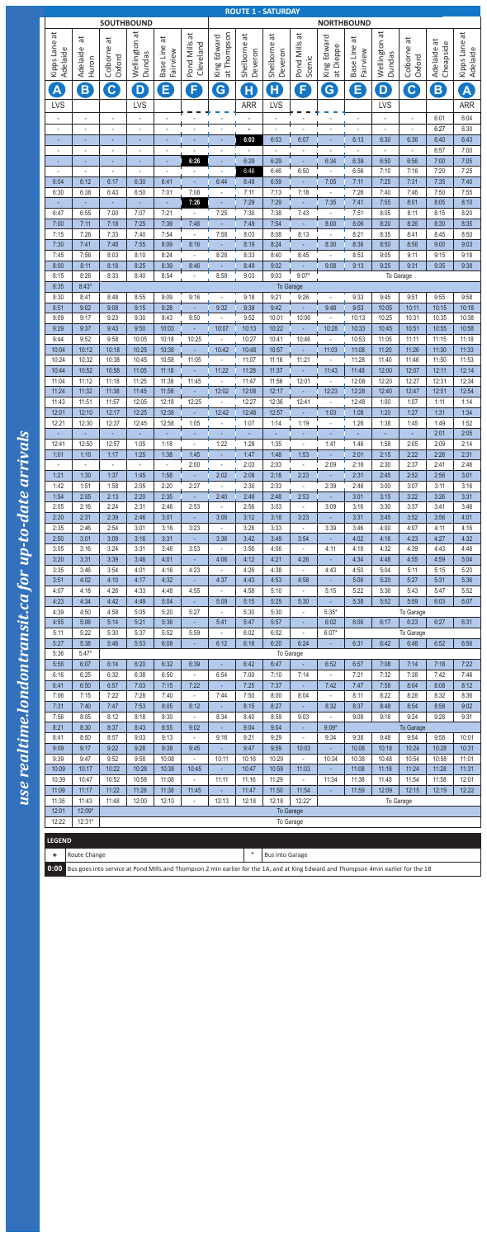**0:00** Bus goes into service at Pond Mills and Thompson 2 min earlier for the 1A, and at King Edward and Thompson 4min earlier for the 1B

| <b>SOUTHBOUND</b>                   |                        |                                                                                   |                          |                                      |                                  |                               |                            | <b>ROUTE 1 - SATURDAY</b>           |                                   | <b>NORTHBOUND</b>                   |                                      |                                  |                                                 |                            |                           |  |
|-------------------------------------|------------------------|-----------------------------------------------------------------------------------|--------------------------|--------------------------------------|----------------------------------|-------------------------------|----------------------------|-------------------------------------|-----------------------------------|-------------------------------------|--------------------------------------|----------------------------------|-------------------------------------------------|----------------------------|---------------------------|--|
| $\vec{a}$<br>Kipps Lane<br>Adelaide | đ<br>Adelaide<br>Huron | đ<br>Colborne<br>Oxford                                                           | Wellington at<br>Dundas  | đ<br>Line<br>Fairview<br><b>Base</b> | đ<br>Pond Mills<br>Cleveland     | at Thompson<br>Edward<br>King | ЪÉ<br>Shelborne<br>Deveron | đ<br>Shelborne<br>Deveron           | $\vec{a}$<br>Pond Mills<br>Scenic | King Edward<br>at Dieppe            | đ<br>Line<br>Fairview<br><b>Base</b> | Wellington at<br>Dundas          | $\overline{\mathfrak{a}}$<br>Colborne<br>Oxford | đ<br>Cheapside<br>Adelaide | Kipps Lane at<br>Adelaide |  |
| $\blacktriangle$<br><b>LVS</b>      | B                      | $\mathbf{C}$                                                                      | D<br><b>LVS</b>          | E                                    | F                                | G                             | H<br><b>ARR</b>            | $\mathsf H$<br><b>LVS</b><br>$\sim$ | F                                 | G                                   | Е                                    | $\mathbf{D}$<br><b>LVS</b>       | $\mathbf C$                                     | B<br>6:01                  | A<br><b>ARR</b><br>6:04   |  |
|                                     |                        |                                                                                   | $\overline{\phantom{a}}$ |                                      |                                  |                               |                            |                                     |                                   |                                     |                                      |                                  |                                                 | 6:27                       | 6:30                      |  |
|                                     | ٠                      |                                                                                   |                          |                                      |                                  |                               | 6:03                       | 6:03                                | 6:07                              |                                     | 6:13                                 | 6:30<br>$\overline{\phantom{a}}$ | 6:36<br>$\overline{\phantom{a}}$                | 6:40<br>6:57               | 6:43<br>7:00              |  |
|                                     | ÷,                     | $\blacksquare$                                                                    |                          |                                      | 6:26                             |                               | 6:29                       | 6:29                                |                                   | 6:34                                | 6:39                                 | 6:50                             | 6:56                                            | 7:00                       | 7:05                      |  |
| 6:04                                | ä,<br>6:12             | 6:17                                                                              | 6:30                     | 6:41                                 |                                  | 6:44                          | 6:46<br>6:48               | 6:46<br>6:59                        | 6:50                              | 7:05                                | 6:56<br>7:11                         | 7:10<br>7:25                     | 7:16<br>7:31                                    | 7:20<br>7:35               | 7:25<br>7:40              |  |
| 6:30                                | 6:38                   | 6:43                                                                              | 6:50                     | 7:01                                 | 7:08                             |                               | 7:11                       | 7:13                                | 7:18                              |                                     | 7:26                                 | 7:40                             | 7:46                                            | 7:50                       | 7:55                      |  |
| 6:47                                | 6:55                   | 7:00                                                                              | 7:07                     | ÷.<br>7:21                           | 7:26                             | 7:25                          | 7:29<br>7:30               | 7:29<br>7:38                        | 7:43                              | 7:35                                | 7:41<br>7:51                         | 7:55<br>8:05                     | 8:01<br>8:11                                    | 8:05<br>8:15               | 8:10<br>8:20              |  |
| 7:00                                | 7:11                   | 7:18                                                                              | 7:25                     | 7:39                                 | 7:46                             |                               | 7:49                       | 7:54                                |                                   | 8:00                                | 8:06                                 | 8:20                             | 8:26                                            | 8:30                       | 8:35                      |  |
| 7:15<br>7:30                        | 7:26<br>7:41           | 7:33<br>7:48                                                                      | 7:40<br>7:55             | 7:54<br>8:09                         | 8:16                             | 7:58                          | 8:03<br>8:19               | 8:08<br>8:24                        | 8:13                              | 8:30                                | 8:21<br>8:36                         | 8:35<br>8:50                     | 8:41<br>8:56                                    | 8:45<br>9:00               | 8:50<br>9:03              |  |
| 7:45                                | 7:56                   | 8:03                                                                              | 8:10                     | 8:24                                 |                                  | 8:28                          | 8:33                       | 8:40                                | 8:45                              |                                     | 8:53                                 | 9:05                             | 9:11                                            | 9:15                       | 9:18                      |  |
| 8:00                                | 8:11                   | 8:18                                                                              | 8:25                     | 8:39                                 | 8:46                             |                               | 8:49                       | 9:02                                |                                   | 9:08                                | 9:13                                 | 9:25                             | 9:31                                            | 9:35                       | 9:38                      |  |
| 8:15<br>8:35                        | 8:26<br>$8:43*$        | 8:33<br>8:40<br>8:54<br>8:58<br>9:03<br>9:03<br>$9:07*$<br>To Garage<br>To Garage |                          |                                      |                                  |                               |                            |                                     |                                   |                                     |                                      |                                  |                                                 |                            |                           |  |
| 8:30                                | 8:41                   | 8:48                                                                              | 8:55                     | 9:09                                 | 9:16                             |                               | 9:18                       | 9:21                                | 9:26                              |                                     | 9:33                                 | 9:45                             | 9:51                                            | 9:55                       | 9:58                      |  |
| 8:51<br>9:09                        | 9:02<br>9:17           | 9:08<br>9:23                                                                      | 9:15<br>9:30             | 9:28<br>9:43                         | 9:50                             | 9:32                          | 9:38<br>9:52               | 9:42<br>10:01                       | 10:06                             | 9:48                                | 9:53<br>10:13                        | 10:05<br>10:25                   | 10:11<br>10:31                                  | 10:15<br>10:35             | 10:18<br>10:38            |  |
| 9:29                                | 9:37                   | 9:43                                                                              | 9:50                     | 10:03                                |                                  | 10:07                         | 10:13                      | 10:22                               |                                   | 10:28                               | 10:33                                | 10:45                            | 10:51                                           | 10:55                      | 10:58                     |  |
| 9:44<br>10:04                       | 9:52<br>10:12          | 9:58<br>10:18                                                                     | 10:05<br>10:25           | 10:18<br>10:38                       | 10:25                            | 10:42                         | 10:27<br>10:48             | 10:41<br>10:57                      | 10:46                             | $\omega$<br>11:03                   | 10:53<br>11:08                       | 11:05<br>11:20                   | 11:11<br>11:26                                  | 11:15<br>11:30             | 11:18<br>11:33            |  |
| 10:24                               | 10:32                  | 10:38                                                                             | 10:45                    | 10:58                                | 11:05                            |                               | 11:07                      | 11:16                               | 11:21                             | $\sim$                              | 11:28                                | 11:40                            | 11:46                                           | 11:50                      | 11:53                     |  |
| 10:44<br>11:04                      | 10:52<br>11:12         | 10:58<br>11:18                                                                    | 11:05<br>11:25           | 11:18<br>11:38                       | 11:45                            | 11:22                         | 11:28<br>11:47             | 11:37<br>11:56                      | 12:01                             | 11:43                               | 11:48<br>12:08                       | 12:00<br>12:20                   | 12:07<br>12:27                                  | 12:11<br>12:31             | 12:14<br>12:34            |  |
| 11:24                               | 11:32                  | 11:38                                                                             | 11:45                    | 11:58                                |                                  | 12:02                         | 12:08                      | 12:17                               |                                   | 12:23                               | 12:28                                | 12:40                            | 12:47                                           | 12:51                      | 12:54                     |  |
| 11:43                               | 11:51                  | 11:57                                                                             | 12:05                    | 12:18                                | 12:25                            |                               | 12:27                      | 12:36                               | 12:41                             |                                     | 12:48                                | 1:00                             | 1:07                                            | 1:11                       | 1:14                      |  |
| 12:01<br>12:21                      | 12:10<br>12:30         | 12:17<br>12:37                                                                    | 12:25<br>12:45           | 12:38<br>12:58                       | 1:05                             | 12:42                         | 12:48<br>1:07              | 12:57<br>1:14                       | 1:19                              | 1:03                                | 1:08<br>1:26                         | 1:20<br>1:38                     | 1:27<br>1:45                                    | 1:31<br>1:49               | 1:34<br>1:52              |  |
| ÷.                                  |                        | $\overline{a}$                                                                    |                          |                                      |                                  |                               |                            |                                     |                                   |                                     |                                      |                                  | ÷.                                              | 2:01                       | 2:05                      |  |
| 12:41<br>1:01                       | 12:50<br>1:10          | 12:57<br>1:17                                                                     | 1:05<br>1:25             | 1:18<br>1:38                         | 1:45                             | 1:22                          | 1:28<br>1:47               | 1:35<br>1:48                        | 1:53                              | 1:41                                | 1:46<br>2:01                         | 1:58<br>2:15                     | 2:05<br>2:22                                    | 2:09<br>2:26               | 2:14<br>2:31              |  |
|                                     |                        |                                                                                   |                          |                                      | 2:00                             |                               | 2:03                       | 2:03                                |                                   | 2:09                                | 2:16                                 | 2:30                             | 2:37                                            | 2:41                       | 2:46                      |  |
| 1:21<br>1:42                        | 1:30<br>1:51           | 1:37<br>1:58                                                                      | 1:45<br>2:05             | 1:58<br>2:20                         | 2:27                             | 2:02                          | 2:08<br>2:30               | 2:18<br>2:33                        | 2:23                              | 2:39                                | 2:31<br>2:46                         | 2:45<br>3:00                     | 2:52<br>3:07                                    | 2:56<br>3:11               | 3:01<br>3:16              |  |
| 1:54                                | 2:05                   | 2:13                                                                              | 2:20                     | 2:35                                 |                                  | 2:40                          | 2:46                       | 2:48                                | 2:53                              |                                     | 3:01                                 | 3:15                             | 3:22                                            | 3:26                       | 3:31                      |  |
| 2:05<br>2:20                        | 2:16<br>2:31           | 2:24<br>2:39                                                                      | 2:31<br>2:46             | 2:46<br>3:01                         | 2:53                             | 3:06                          | 2:56<br>3:12               | 3:03<br>3:18                        | 3:23                              | 3:09                                | 3:16<br>3:31                         | 3:30<br>3:45                     | 3:37<br>3:52                                    | 3:41<br>3:56               | 3:46<br>4:01              |  |
| 2:35                                | 2:46                   | 2:54                                                                              | 3:01                     | 3:16                                 | 3:23                             |                               | 3:26                       | 3:33                                |                                   | 3:39                                | 3:46                                 | 4:00                             | 4:07                                            | 4:11                       | 4:16                      |  |
| 2:50                                | 3:01<br>3:16           | 3:09<br>3:24                                                                      | 3:16<br>3:31             | 3:31<br>3:46                         | 3:53                             | 3:36                          | 3:42<br>3:56               | 3:49<br>4:06                        | 3:54                              | 4:11                                | 4:02<br>4:18                         | 4:16<br>4:32                     | 4:23<br>4:39                                    | 4:27<br>4:43               | 4:32<br>4:48              |  |
| 3:05<br>3:20                        | 3:31                   | 3:39                                                                              | 3:46                     | 4:01                                 |                                  | 4:06                          | 4:12                       | 4:21                                | 4:26                              |                                     | 4:34                                 | 4:48                             | 4:55                                            | 4:59                       | 5:04                      |  |
| 3:35                                | 3:46                   | 3:54                                                                              | 4:01                     | 4:16                                 | 4:23                             | $\overline{\phantom{a}}$      | 4:26                       | 4:38                                | $\overline{\phantom{a}}$          | 4:43                                | 4:50                                 | 5:04                             | 5:11                                            | 5:15                       | 5:20                      |  |
| 3:51<br>4:07                        | 4:02<br>4:18           | 4:10<br>4:26                                                                      | 4:17<br>4:33             | 4:32<br>4:48                         | 4:55                             | 4:37                          | 4:43<br>4:58               | 4:53<br>5:10                        | 4:58<br>$\overline{\phantom{a}}$  | 5:15                                | 5:06<br>5:22                         | 5:20<br>5:36                     | 5:27<br>5:43                                    | 5:31<br>5:47               | 5:36<br>5:52              |  |
| 4:23                                | 4:34                   | 4:42                                                                              | 4:49                     | 5:04                                 |                                  | 5:09                          | 5:15                       | 5:25                                | 5:30                              |                                     | 5:38                                 | 5:52                             | 5:59                                            | 6:03                       | 6:07                      |  |
| 4:39<br>4:55                        | 4:50<br>5:06           | 4:58<br>5:14                                                                      | 5:05<br>5:21             | 5:20<br>5:36                         | 5:27                             | 5:41                          | 5:30<br>5:47               | 5:30<br>5:57                        |                                   | $5:35*$<br>6:02                     | 6:06                                 | 6:17                             | To Garage<br>6:23                               | 6:27                       | 6:31                      |  |
| 5:11                                | 5:22                   | 5:30                                                                              | 5:37                     | 5:52                                 | 5:59                             | ÷,                            | 6:02                       | 6:02                                |                                   | $6:07*$                             |                                      |                                  | To Garage                                       |                            |                           |  |
| 5:27<br>5:36                        | 5:38<br>$5:47*$        | 5:46                                                                              | 5:53                     | 6:08                                 |                                  | 6:12                          | 6:18                       | 6:20                                | 6:24<br>To Garage                 | ÷.                                  | 6:31                                 | 6:42                             | 6:48                                            | 6:52                       | 6:56                      |  |
| 5:56                                | 6:07                   | 6:14                                                                              | 6:20                     | 6:32                                 | 6:39                             |                               | 6:42                       | 6:47                                |                                   | 6:52                                | 6:57                                 | 7:08                             | 7:14                                            | 7:18                       | 7:22                      |  |
| 6:16<br>6:41                        | 6:25<br>6:50           | 6:32<br>6:57                                                                      | 6:38<br>7:03             | 6:50<br>7:15                         | $\overline{\phantom{a}}$<br>7:22 | 6:54                          | 7:00<br>7:25               | 7:10<br>7:37                        | 7:14                              | L.<br>7:42                          | 7:21<br>7:47                         | 7:32<br>7:58                     | 7:38<br>8:04                                    | 7:42<br>8:08               | 7:46<br>8:12              |  |
| 7:06                                | 7:15                   | 7:22                                                                              | 7:28                     | 7:40                                 | $\equiv$                         | 7:44                          | 7:50                       | 8:00                                | 8:04                              | $\omega$                            | 8:11                                 | 8:22                             | 8:28                                            | 8:32                       | 8:36                      |  |
| 7:31                                | 7:40                   | 7:47                                                                              | 7:53                     | 8:05                                 | 8:12                             |                               | 8:15                       | 8:27                                |                                   | 8:32                                | 8:37                                 | 8:48                             | 8:54                                            | 8:58                       | 9:02                      |  |
| 7:56<br>8:21                        | 8:05<br>8:30           | 8:12<br>8:37                                                                      | 8:18<br>8:43             | 8:30<br>8:55                         | ÷.<br>9:02                       | 8:34                          | 8:40<br>9:04               | 8:59<br>9:04                        | 9:03                              | $\overline{\phantom{a}}$<br>$9:09*$ | 9:08                                 | 9:18                             | 9:24<br><b>To Garage</b>                        | 9:28                       | 9:31                      |  |
| 8:41                                | 8:50                   | 8:57                                                                              | 9:03                     | 9:13                                 | $\overline{\phantom{0}}$         | 9:16                          | 9:21                       | 9:29                                |                                   | 9:34                                | 9:38                                 | 9:48                             | 9:54                                            | 9:58                       | 10:01                     |  |
| 9:09<br>9:39                        | 9:17<br>9:47           | 9:22<br>9:52                                                                      | 9:28<br>9:58             | 9:38<br>10:08                        | 9:45<br>$\overline{\phantom{0}}$ | 10:11                         | 9:47<br>10:16              | 9:59<br>10:29                       | 10:03                             | 10:34                               | 10:08<br>10:38                       | 10:18<br>10:48                   | 10:24<br>10:54                                  | 10:28<br>10:58             | 10:31<br>11:01            |  |
| 10:09                               | 10:17                  | 10:22                                                                             | 10:28                    | 10:38                                | 10:45                            |                               | 10:47                      | 10:59                               | 11:03                             | ÷.                                  | 11:08                                | 11:18                            | 11:24                                           | 11:28                      | 11:31                     |  |
| 10:39<br>11:09                      | 10:47<br>11:17         | 10:52<br>11:22                                                                    | 10:58<br>11:28           | 11:08<br>11:38                       | ÷.<br>11:45                      | 11:11                         | 11:16<br>11:47             | 11:29<br>11:50                      | $\overline{\phantom{a}}$<br>11:54 | 11:34                               | 11:38<br>11:59                       | 11:48<br>12:09                   | 11:54<br>12:15                                  | 11:58<br>12:19             | 12:01<br>12:22            |  |
| 11:35                               | 11:43                  | 11:48                                                                             | 12:00                    | 12:10                                | $\sim$                           | 12:13                         | 12:18                      | 12:18                               | $12:22*$                          |                                     |                                      |                                  | To Garage                                       |                            |                           |  |
| 12:01<br>12:22                      | 12:09*<br>$12:31*$     |                                                                                   |                          |                                      |                                  |                               |                            |                                     | To Garage                         |                                     |                                      |                                  |                                                 |                            |                           |  |
|                                     |                        |                                                                                   |                          |                                      |                                  |                               |                            |                                     | To Garage                         |                                     |                                      |                                  |                                                 |                            |                           |  |
| <b>LEGEND</b>                       |                        |                                                                                   |                          |                                      |                                  |                               |                            |                                     |                                   |                                     |                                      |                                  |                                                 |                            |                           |  |
| ٠                                   | Route Change           |                                                                                   |                          |                                      |                                  |                               | $\ast$                     | <b>Bus into Garage</b>              |                                   |                                     |                                      |                                  |                                                 |                            |                           |  |